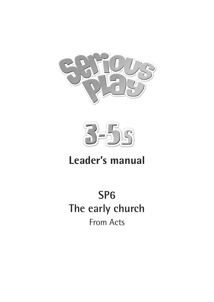



# **Leader's manual**

# **SP6 The early church** From Acts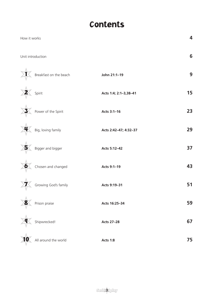# Contents

| How it works           |                       | 4  |
|------------------------|-----------------------|----|
| Unit introduction      |                       | 6  |
| Breakfast on the beach | John 21:1-19          | 9  |
| Spirit                 | Acts 1:4; 2:1-3,38-41 | 15 |
| Power of the Spirit    | Acts 3:1-16           | 23 |
| Big, loving family     | Acts 2:42-47; 4:32-37 | 29 |
| Bigger and bigger      | Acts 5:12-42          | 37 |
| Chosen and changed     | Acts 9:1-19           | 43 |
| Growing God's family   | Acts 9:19-31          | 51 |
| Prison praise          | Acts 16:25-34         | 59 |
| Shipwrecked!           | <b>Acts 27-28</b>     | 67 |
| All around the world   | <b>Acts 1:8</b>       | 75 |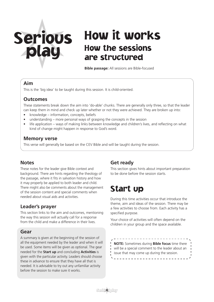# Serious play

# How it works How the sessions are structured

**Bible passage:** All sessions are Bible-focused

#### **Aim**

This is the 'big idea' to be taught during this session. It is child-oriented.

#### **Outcomes**

These statements break down the aim into 'do-able' chunks. There are generally only three, so that the leader can keep them in mind and check up later whether or not they were achieved. They are broken up into:

- knowledge information, concepts, beliefs
- understanding more personal ways of grasping the concepts in the session
- life application ways of making links between knowledge and children's lives, and reflecting on what kind of change might happen in response to God's word.

#### **Memory verse**

This verse will generally be based on the CEV Bible and will be taught during the session.

#### **Notes**

These notes for the leader give Bible context and background. There are hints regarding the theology of the passage, where it fits in salvation history and how it may properly be applied to both leader and child. There might also be comments about the management of the session content and special comments when needed about visual aids and activities.

#### **Leader's prayer**

This section links to the aim and outcomes, mentioning the way this session will actually call for a response from the child and make a difference in their lives.

#### **Gear**

A summary is given at the beginning of the session of all the equipment needed by the leader and when it will be used. Some items will be given as optional. The gear needed for the **Start up** and concluding **Activities** is given with the particular activity. Leaders should choose these in advance to ensure that they have all that is needed. It is advisable to try out any unfamiliar activity before the session to make sure it works.

#### **Get ready**

This section gives hints about important preparation to be done before the session starts.

# Start up

During this time activities occur that introduce the theme, aim and ideas of the session. There may be a few activities to choose from. Each activity has a specified purpose.

Your choice of activities will often depend on the children in your group and the space available.

**NOTE:** Sometimes during **Bible focus** time there will be a special comment to the leader about an issue that may come up during the session.

<u> - - - - - - - - - - - - - - - - - -</u>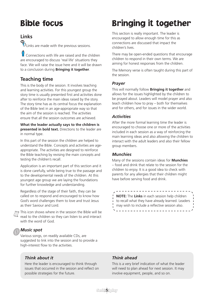# Bible focus

#### **Links**

? Links are made with the previous sessions.

Connections with life are raised and the children are encouraged to discuss 'real life' situations they face. We will raise the issue here and it will be drawn to a conclusion during **Bringing it together**.

#### **Teaching time**

This is the body of the session. It involves teaching and learning activities. For this youngest group the story time is usually presented first and activities done after to reinforce the main ideas raised by the story. The story time has as its central focus the explanation of the Bible text in an age-appropriate way so that the aim of the session is reached. The activities ensure that all the session outcomes are achieved.

**What the leader actually says to the children is presented in bold text.** Directions to the leader are in normal type.

In this part of the session the children are helped to understand the Bible. Concepts and activities are ageappropriate. The activities are designed to reinforce the Bible teaching by revising the main concepts and testing the children's recall.

Application is an important part of this section and it is done carefully, while being true to the passage and to the developmental needs of the children. At this youngest age group we are laying the foundations for further knowledge and understanding.

Regardless of the stage of their faith, they can be called on to respond and encouraged to know how God's word challenges them to love and trust Jesus as their Saviour and Lord.

This icon shows where in the session the Bible will be read to the children so they can listen to and interact with the word of God.

#### *Music spot*

Various songs, on readily available CDs, are suggested to link into the session and to provide a high-interest flow to the activities.

#### *Think about it*

Here the leader is encouraged to think through issues that occurred in the session and reflect on possible strategies for the future.

# Bringing it together

This section is really important. The leader is encouraged to allow enough time for this as connections are discussed that impact the children's lives.

There may be open-ended questions that encourage children to respond in their own terms. We are aiming for honest responses from the children.

The Memory verse is often taught during this part of the session.

#### *Prayer*

This will normally follow **Bringing it together** and allows for the issues highlighted by the children to be prayed about. Leaders will model prayer and also teach children how to pray – both for themselves and for others, and for issues in the wider world.

#### *Activities*

After the more formal learning time the leader is encouraged to choose one or more of the activities included in each session as a way of reinforcing the main learning ideas and also allowing the children to interact with the adult leaders and also their fellow group members.

#### *Munchies*

Many of the sessions contain ideas for **Munchies**  – food and drink that relate to the session for the children to enjoy. It is a good idea to check with parents for any allergies that their children might have before serving food and drink.

**NOTE:** The **Links** in each session help children to recall what they have already learned. Leaders may wish to include a reflective session also.\_\_\_\_\_\_\_\_\_\_\_\_\_\_\_\_\_\_

\_ \_ \_ \_ \_ \_ \_ \_ \_ \_ \_ \_ \_ \_ \_ \_

#### *Think ahead*

This is a very brief indication of what the leader will need to plan ahead for next session. It may involve equipment, people, and so on.

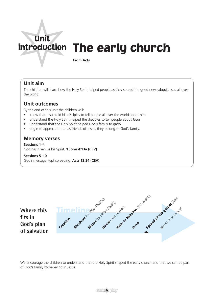# introduction The early church Unit

**From Acts**

#### **Unit aim**

The children will learn how the Holy Spirit helped people as they spread the good news about Jesus all over the world.

#### **Unit outcomes**

By the end of this unit the children will:

- know that Jesus told his disciples to tell people all over the world about him
- understand the Holy Spirit helped the disciples to tell people about Jesus
- understand that the Holy Spirit helped God's family to grow
- begin to appreciate that as friends of Jesus, they belong to God's family.

#### **Memory verses**

**Sessions 1–4** God has given us his Spirit. **1 John 4:13a (CEV)**

#### **Sessions 5–10**

God's message kept spreading. **Acts 12:24 (CEV)**



We encourage the children to understand that the Holy Spirit shaped the early church and that we can be part of God's family by believing in Jesus.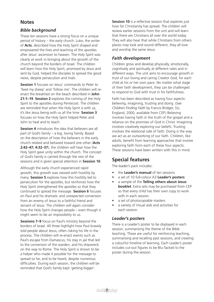#### **Notes**

#### *Bible background*

These ten sessions have a strong focus on a unique period of history – the early church. Luke, the writer of **Acts**, described how the Holy Spirit shaped and empowered the lives and teaching of the apostles after Jesus' ascension to heaven. The Holy Spirit was clearly at work in bringing about the growth of the church beyond the borders of Israel. The children will learn how the Holy Spirit, promised by Jesus and sent by God, helped the disciples to spread the good news, despite persecution and trials.

**Session 1** focuses on Jesus' commands to Peter to 'feed my sheep' and 'follow me'. The children will reenact the breakfast on the beach described in **John 21:1–19**. **Session 2** explores the coming of the Holy Spirit to the apostles during Pentecost. The children are reminded that when the Holy Spirit is with us, it's like Jesus being with us all the time. **Session 3** focuses on how the Holy Spirit helped Peter and John to heal and to teach.

**Session 4** introduces the idea that believers are all part of God's family – a big, loving family. Based on the description of how the believers in the early church related and behaved toward one other (**Acts 2:42–47; 4:32–37**), the children will hear how the Holy Spirit gave unity within the church. The concept of God's family is carried through the rest of the sessions and is given special attention in **Session 10**.

Although the early church experienced rapid growth, this growth was viewed with hostility by many. **Session 5** explores how this hostility led to persecution for the apostles, but reinforces how the Holy Spirit strengthened the apostles so that they continued to spread the message. **Session 6** focuses on Paul and his dramatic and unexpected conversion from an enemy of Jesus to a faithful friend and servant of Jesus. The children will again consider how the Holy Spirit changes people – even though it might seem to be an impossibility to us.

**Sessions 7-9** focus on Paul's ministry beyond the borders of Israel. All three highlight how Paul bravely told people about Jesus, often risking his life in the process. The children will re-enact events such as Paul's escape from Damascus, his stay in jail that led to the conversion of the warden, and his shipwreck on the way to Rome. The Holy Spirit is shown to be a helper who made it possible for the message to spread so far, and to be heard, despite numerous difficulties. During each session, the children will be reminded that God's family kept 'getting bigger'.

**Session 10** is a reflective session that explores just how far Christianity has spread. The children will review earlier sessions from the unit and will learn that there are Christians all over the world today. They will also hear that while Christians from others places may look and sound different, they all love and worship the same Jesus.

#### *Faith development*

Children grow and develop physically, emotionally, cognitively and spiritually at different rates and in different ways. The unit aims to encourage growth in trust of our loving and caring Creator God, for each child at his or her own pace. No matter what stage of their faith development, they can be challenged to respond to God with trust in his faithfulness.

Faith has been described as having four aspects: believing, imagining, trusting and doing. (See *Children Finding Faith* by Francis Bridger, SU, England, 2000, available from CEP.) Believing involves having faith in the truth of the gospel and a reliance on the promises of God in Christ. Imagining involves creatively exploring our beliefs. Trusting involves the relational side of faith. Doing is the way we act as an outworking of our faith. Children, like adults, benefit from learning approaches that involve exploring faith from each of these four aspects. These sessions have been written with this in mind.

#### **Special features**

The leader's pack includes:

- the **Leader's manual** of ten sessions
- a set of 10 full-colour A3 **Leader's posters**
- a sample of the **Telling others about Jesus booklet**. Extra sets may be purchased from CEP so that every child has their own copy to work with in each session.
- a set of photocopiable masters
- a variety of Visual aids and activities for each session.

#### *Leader's posters*

There is a Leader's poster to be displayed in each session, summarising the theme of the Bible teaching. These are useful for reinforcing teaching, summarising and recalling past sessions, and creating a colourful timeline of learning. Each Leader's poster includes cut-out figures to be Blu-Tacked to the poster during the session.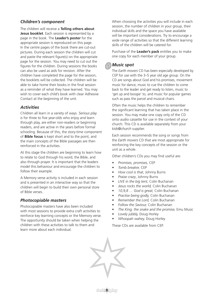#### *Children's component*

The children will receive a **Telling others about Jesus booklet**. Each session is represented by a page in the book. The **Leader's poster** for the appropriate session is reproduced on this page. In the centre pages of the book there are cut-out pictures. During each session the children will cut and paste the relevant figure(s) on the appropriate page for the session. You may need to cut out the figures for the children. During sessions the books can also be used as aids for revision. After the children have completed the page for the session, the booklets will be collected. The children will be able to take home their books in the final session as a reminder of what they have learned. You may wish to cover each child's book with clear Adhesive Contact at the beginning of the unit.

#### *Activities*

Children all learn in a variety of ways. *Serious play* is for three to five year-olds who enjoy and learn through play, are either non-readers or beginning readers, and are active in the years before formal schooling. Because of this, the story-time component of **Bible focus** is kept short and to the point, and the main concepts of the Bible passages are then reinforced in the activities.

At this stage the children are beginning to learn how to relate to God through his word, the Bible, and also through prayer. It is important that the leaders model this behaviour and encourage the children to follow their example.

A Memory verse activity is included in each session and is presented in an interactive way so that the children will begin to build their own personal store of Bible verses.

#### *Photocopiable masters*

Photocopiable masters have also been included with most sessions to provide extra craft activities to reinforce key learning concepts or the Memory verse. The opportunity should be taken when helping the children with these activities to talk to them and learn more about each individual.

When choosing the activities you will include in each session, the number of children in your group, their individual skills and the space you have available will be important considerations. Try to encourage a wide range of activities so that the different learning skills of the children will be catered for.

Purchase of the **Leader's pack** entitles you to make one copy for each member of your group.

#### *Music spot*

The *Earth movers* CD has been especially developed by CEP for use with the 3–5 year old age group. On the CD are songs about God and his promises, movement music for dance, music to cue the children to come back to the leader and get ready to listen, music to 'get up and boogie' to, and music for popular games such as pass the parcel and musical chairs.

Often the music helps the children to remember the significant learning that has taken place in the session. You may make one copy only of the CD onto audio cassette for use in the context of your church. This CD is available separately from your *kids@church* supplier.

Each session recommends the song or songs from the *Earth movers* CD that are most appropriate for reinforcing the key concepts of the session or the unit as a whole.

Other children's CDs you may find useful are:

- *• Promises, promises,* CEP
- *• Tomb breaker,* CEP
- *How cool is that*, Johnny Burns
- *Praise crazy*, Johnny Burns
- *• LIVE in the big tent,* Colin Buchanan
- *• Jesus rocks the world,* Colin Buchanan
- *• 10,9,8 … God is great,* Colin Buchanan
- *• Practise being godly,* Colin Buchanan
- *• Remember the Lord,* Colin Buchanan
- *Follow the Saviour,* Colin Buchanan
- *The King, the snake and the promise,* Emu Music
- *• Lovely jubbly,* Doug Horley
- *• Whoopah wahey,* Doug Horley

These CDs are available from CEP.



**Serio 8** Folay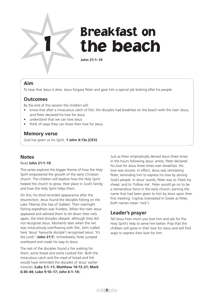

# 1 Breakfast on<br>1 The beach

**John 21:1–19**

#### **Aim**

To hear that Jesus is alive. Jesus forgave Peter and gave him a special job looking after his people.

#### **Outcomes**

By the end of this session the children will:

- know that after a miraculous catch of fish, the disciples had breakfast on the beach with the risen Jesus, and Peter declared his love for Jesus
- understand that we can love Jesus
- think of ways they can show their love for Jesus.

#### **Memory verse**

God has given us his Spirit. **1 John 4:13a (CEV)**

#### **Notes**

#### Read **John 21:1–19**.

This series explores the bigger theme of how the Holy Spirit empowered the growth of the early Christian church. The children will explore how the Holy Spirit helped the church to grow, their place in God's family, and how the Holy Spirit helps them.

On this, his third recorded appearance after the resurrection, Jesus found the disciples fishing on the Lake Tiberias (the Sea of Galilee). Their overnight fishing expedition was fruitless. When the risen Jesus appeared and advised them to let down their nets again, the tired disciples obeyed, although they did not recognise Jesus. Moments later when the net was miraculously overflowing with fish, John (called here 'Jesus' favourite disciple') recognised Jesus: 'It's the Lord!' (**John 21:7**). Immediately, Peter jumped overboard and made his way to Jesus.

The rest of the disciples found a fire waiting for them, some bread and some cooked fish. Both the miraculous catch and the meal of bread and fish would have reminded the disciples of Jesus' earlier miracles (**Luke 5:1–11; Matthew 14:13–21; Mark 6:30–44; Luke 9:10–17; John 6:1–14**).

Just as Peter emphatically denied Jesus three times in the hours following Jesus' arrest, Peter declared his love for Jesus three times over breakfast. His love was sincere. In effect, Jesus was reinstating Peter, reminding him to express his love by serving God's people. In Jesus' words, Peter was to 'Feed my sheep' and to 'Follow me'. Peter would go on to be a tremendous force in the early church, earning the name that had been given to him by Jesus upon their first meeting: Cephas (translated in Greek as Peter, both names mean 'rock').

#### **Leader's prayer**

Tell Jesus how much you love him and ask for the Holy Spirit's help to serve him better. Pray that the children will grow in their love for Jesus and will find ways to express their love for him.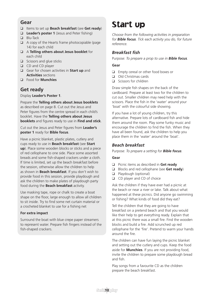#### **Gear**

- q Items to set up **Beach breakfast** (see **Get ready**)
- **Q** Leader's poster 1 (Jesus and Peter fishing)
- **Q** Blu-Tack
- $\Box$  A copy of the Hearts frame photocopiable (page 14) for each child
- q A **Telling others about Jesus booklet** for each child
- $\Box$  Scissors and glue sticks
- **Q** CD and CD player
- q Gear for chosen activities in **Start up** and **Activities** sections
- q Food for **Munchies**

#### **Get ready**

Display **Leader's Poster 1**.

Prepare the **Telling others about Jesus booklets**  as described on page 8. Cut out the Jesus and Peter figures from the centre spread in each child's booklet. Have the **Telling others about Jesus booklets** and figures ready to use in **Find and stick**.

Cut out the Jesus and Peter figures from **Leader's poster 1** ready for **Bible focus**.

Have a picnic blanket, plastic plates, cutlery and cups ready to use in **Beach breakfast** (see **Start up**). Place some wooden blocks or sticks and a piece of red cellophane to one side. Place some assorted breads and some fish-shaped crackers under a cloth. If time is limited, set up the beach breakfast before the session, otherwise allow the children to help as shown in **Beach breakfast**. If you don't wish to provide food in this session, provide playdough and ask the children to make plates of playdough party food during the **Beach breakfast** activity.

Use masking tape, rope or chalk to create a boat shape on the floor, large enough to allow all children to sit inside. Try to find some net curtain material or a crocheted blanket to use for a fishing net

#### **For extra impact**

Surround the boat with blue crepe paper streamers to represent water. Prepare fish fingers instead of the fish-shaped crackers.

# Start up

*Choose from the following activities in preparation for Bible focus. Tick each activity you do, for future reference.* 

#### *Breakfast fish*

Purpose: *To prepare a prop to use in Bible focus.*

#### **Gear**

- $\Box$  Empty cereal or other food boxes or
- **Q** Old Christmas cards
- $\Box$  Scissors for children

Draw simple fish shapes on the back of the cardboard. Prepare at least two for the children to cut out. Smaller children may need help with the scissors. Place the fish in the 'water' around your 'boat' with the colourful side showing.

If you have a lot of young children, try this alternative. Prepare lots of cardboard fish and hide them around the room. Play some funky music and encourage the children to find the fish. When they have all been found, ask the children to help you place them in the 'water' around the 'boat'.

#### *Beach breakfast*

Purpose: *To prepare a setting for Bible focus.*

#### **Gear**

- q Picnic items as described in **Get ready**
- **Q** Blocks and red cellophane (see **Get ready**)
- **q** Playdough (optional)
- □ CD player and CD of choice

Ask the children if they have ever had a picnic at the beach or near a river or lake. Talk about what happened at these picnics. Did anyone go swimming or fishing? What kinds of food did they eat?

Tell the children that they are going to have breakfast on a pretend beach and that you would like their help to get everything ready. Explain that at this picnic there was a small fire. Find the wooden blocks and build a fire. Add scrunched up red cellophane for the 'fire'. Pretend to warm your hands around the fire.

The children can have fun laying the picnic blanket and setting out the cutlery and cups. Keep the food aside for **Munchies**. If you are not providing food, invite the children to prepare some playdough bread and fish.

Play songs from a favourite CD as the children prepare the beach breakfast.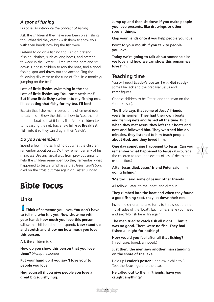#### *A spot of fishing*

Purpose: *To introduce the concept of fishing.*

Ask the children if they have ever been on a fishing trip. What did they catch? Ask them to show you with their hands how big the fish were.

Pretend to go on a fishing trip. Put on pretend 'fishing' clothes, such as long boots, and pretend to wade in the 'water'. Climb into the boat and sit down. Choose children to row the boat, find a good fishing spot and throw out the anchor. Sing the following silly verse to the tune of 'Ten little monkeys jumping on the bed'.

**Lots of little fishies swimming in the sea. Lots of little fishies say 'You can't catch me!' But if one little fishy swims into my fishing net, I'll be eating that fishy for my tea, I'll bet!** 

Explain that fishermen in Jesus' time often used nets to catch fish. Show the children how to 'cast the net' from the boat so that it lands flat. As the children take turns casting the net, toss a few fish (see **Breakfast**  fish) into it so they can drag in their 'catch'.

#### *Do you remember?*

Spend a few minutes finding out what the children remember about Jesus. Do they remember any of his miracles? Use any visual aids from previous units to help the children remember. Do they remember what happened to Jesus? Emphasise that Jesus, God's Son, died on the cross but rose again on Easter Sunday.

### Bible focus

#### **Links**

**Think of someone you love. You don't have to tell me who it is yet. Now show me with your hands how much you love this person** (allow the children time to respond)**. Now stand up and stretch and show me how much you love this person.**

Ask the children to sit.

**How do you show this person that you love them?** (Accept responses.)

**Put your hand up if you say 'I love you' to people you love.** 

**Hug yourself if you give people you love a great big squishy hug.** 

**Jump up and then sit down if you make people you love presents, like drawings or other special things.** 

**Clap your hands once if you help people you love.**

**Point to your mouth if you talk to people you love.** 

**Today we're going to talk about someone else we love and how we can show this person we love him.**

#### **Teaching time**

You will need **Leader's poster 1** (see **Get ready**), some Blu-Tack and the prepared Jesus and Peter figures.

Choose children to be 'Peter' and the 'man on the shore' (Jesus).

**The Bible says that some of Jesus' friends were fishermen. They had their own boats and fishing nets and fished all the time. But when they met Jesus, they left their boats and nets and followed him. They watched him do miracles, they listened to him teach people about God, and they loved him.**

**One day something happened to Jesus. Can you remember what happened to Jesus?** (Encourage the children to recall the events of Jesus' death and resurrection.)

1

**After Jesus died, Jesus' friend Peter said, 'I'm going fishing.'**

#### **'Me too!' said some of Jesus' other friends.**

All follow 'Peter' to the 'boat' and climb in.

#### **They climbed into the boat and when they found a good fishing spot, they let down their net.**

Invite the children to take turns to throw out the net. Try all sides of the 'boat'. Each time, shake your head and say, 'No fish here. Try again.'

**The men tried to catch fish all night … but it was no good. There were no fish. They had fished all night for nothing!**

**How would you feel after all that fishing?** (Tired, sore, bored, annoyed.)

**Just then, the men saw another man standing on the shore of the lake.** 

Hold up **Leader's poster 1** and ask a child to Blu-Tack the Jesus figure to the beach.

**He called out to them, 'Friends, have you caught anything?'**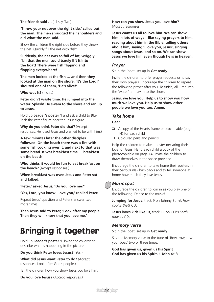**The friends said …** (all say 'No')

#### **'Throw your net over the right side,' called out the man. The men shrugged their shoulders and did what the man said.**

Show the children the right side before they throw the net. Quickly fill the net with 'fish'.

**Suddenly, the net was so full of fat, wriggly fish that the men could barely lift it into the boat! There were fish flipping and flopping everywhere!**

**The men looked at the fish … and then they looked at the man on the shore. 'It's the Lord!' shouted one of them, 'He's alive!'**

**Who was it?** (Jesus.)

**Peter didn't waste time. He jumped into the water. Splash! He swam to the shore and ran up to Jesus.** 

Hold up **Leader's poster 1** and ask a child to Blu-Tack the Peter figure near the Jesus figure.

**Why do you think Peter did that?** (Accept responses. He loved Jesus and wanted to be with him.)

#### **A few minutes later the other disciples**

**followed. On the beach there was a fire with some fish cooking over it, and next to that was some bread. It was breakfast time … breakfast on the beach!** 

**Who thinks it would be fun to eat breakfast on the beach?** (Accept responses.)

**When breakfast was over, Jesus and Peter sat and talked.**

**'Peter,' asked Jesus, 'Do you love me?'** 

**'Yes, Lord, you know I love you,' replied Peter.** 

Repeat Jesus' question and Peter's answer two more times.

**Then Jesus said to Peter, 'Look after my people. Then they will know that you love me.'**

# Bringing it together

Hold up **Leader's poster 1**. Invite the children to describe what is happening in the picture.

**Do you think Peter loves Jesus?** (Yes.)

**What did Jesus want Peter to do?** (Accept responses. Look after God's people.)

Tell the children how you show Jesus you love him.

**Do you love Jesus?** (Accept responses.)

**How can you show Jesus you love him?** (Accept responses.)

**Jesus wants us all to love him. We can show him in lots of ways – like saying prayers to him, reading about him in the Bible, telling others about him, saying 'I love you, Jesus', singing songs about Jesus, and so on. We can show Jesus we love him even though he is in heaven.**

#### *Prayer*

Sit in the 'boat' set up in **Get ready**.

Invite the children to offer prayer requests or to say their own prayers. Encourage the children to repeat the following prayer after you. To finish, all jump into the 'water' and swim to the shore.

**Jesus, we love you. Help us to show you how much we love you. Help us to show other people we love you too. Amen.** 

#### *Take home*

#### **Gear**

- $\Box$  A copy of the Hearts frame photocopiable (page 14) for each child
- $\Box$  Coloured pens and pencils

Help the children to make a poster declaring their love for Jesus. Hand each child a copy of the photocopiable on page 14. Invite the children to draw themselves in the space provided.

Encourage the children to take home their posters in their *Serious play* backpacks and to tell someone at home how much they love Jesus.

#### *Music spot*

Encourage the children to join in as you play one of the following. Dance to the music!

**Jumping for Jesus**, track 9 on Johnny Burn's *How cool is that!* CD.

**Jesus loves kids like us**, track 11 on CEP's *Earth movers* CD.

#### *Memory verse*

Sit in the 'boat' set up in **Get ready**.

Say the Memory verse to the tune of 'Row, row, row your boat' two or three times.

**God has given us, given us his Spirit God has given us his Spirit. 1 John 4:13**

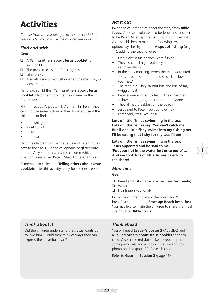# **Activities**

*Choose from the following activities to conclude the session. Play music while the children are working.*

#### *Find and stick*

#### **Gear**

- q A **Telling others about Jesus booklet** for each child
- $\Box$  The pre-cut Jesus and Peter figures
- $\Box$  Glue sticks
- $\Box$  A small piece of red cellophane for each child, or some red glitter

Hand each child their **Telling others about Jesus booklet**. Help them to write their name on the front cover.

Hold up **Leader's poster 1**. Ask the children if they can find the same picture in their booklet. See if the children can find:

- the fishing boat
- a net full of fish
- a fire
- the beach

Help the children to glue the Jesus and Peter figures next to the fire. Glue the cellophane or glitter onto the fire. As you do this, ask the children which question Jesus asked Peter. What did Peter answer?

Remember to collect the **Telling others about Jesus booklets** after this activity ready for the next session.

#### *Act it out*

Invite the children to re-enact the story from **Bible focus**. Choose a volunteer to be Jesus and another to be Peter. All except 'Jesus' should sit in the boat. Ask the children to mime the following. As an option, say the rhyme from **A spot of fishing** (page 11), adding the second verse.

- One night Jesus' friends went fishing.
- They fished all night but they didn't catch anything.
- In the early morning, when the men were tired, Jesus appeared to them and said, 'Let down your net.'
- The men did. They caught lots and lots of fat, wriggly fish!
- Peter swam and ran to Jesus. The other men followed, dragging the net onto the shore.
- They all had breakfast on the beach.
- Jesus said to Peter, 'Do you love me?'
- Peter said, 'Yes! Yes! Yes!'

**Lots of little fishies swimming in the sea. Lots of little fishies say 'You can't catch me!' But if one little fishy swims into my fishing net, I'll be eating that fishy for my tea, I'll bet!** 

**Lots of little fishies swimming in the sea, Jesus appeared and he said to me, 'Put your net in the water just once more' … And we took lots of little fishies ba-ack to the shore!**

1

#### *Munchies*

#### **Gear**

- q Bread and fish-shaped crackers (see **Get ready**)
- **Q** Water
- $\Box$  Fish fingers (optional)

Invite the children to enjoy the bread and 'fish' breakfast set up during **Start up: Beach breakfast**. You may like to invite the children to share this meal straight after **Bible focus**.

#### *Think about it*

Did the children understand that Jesus wants us to love him? Could they think of ways they can express their love for Jesus?

#### *Think ahead*

You will need **Leader's poster 2** (Apostles) and a **Telling others about Jesus booklet** for each child. Also some red dot stickers, crepe paper, some party hats and a copy of the Fire and box photocopiable (page 20) for each child.

Refer to **Gear** for **Session 2** (page 16).